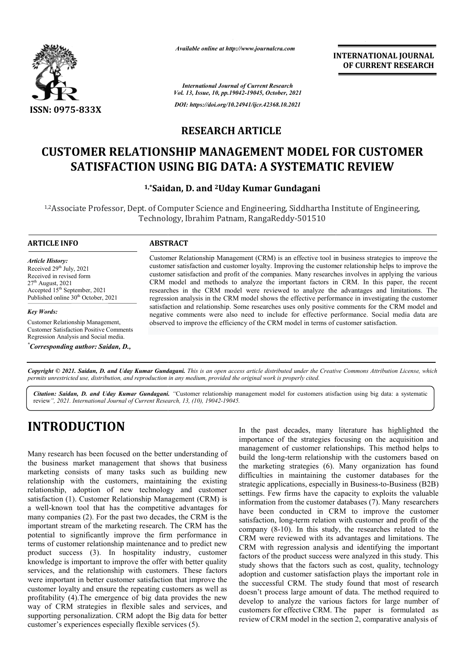

*Available online at http://www.journalcra.com*

**INTERNATIONAL JOURNAL OF CURRENT RESEARCH**

*International Journal of Current Research Vol. 13, Issue, 10, pp.19042-19045, October, 2021 DOI: https://doi.org/10.24941/ijcr.42368.10.2021*

### **RESEARCH ARTICLE**

## **CUSTOMER RELATIONSHIP MANAGEMENT MODEL FOR CUSTOMER CUSTOMER DATA: A REVIEWSATISFACTION USING BIG DATA: A SYSTEMATIC REVIEW**

**1,\*Saidan Saidan, D. and 2Uday Kumar Gundagani**

<sup>1,2</sup>Associate Professor, Dept. of Computer Science and Engineering, Siddhartha Institute of Engineering, Technology, Ibrahim Patnam, RangaReddy RangaReddy-501510

### **ARTICLE INFO ABSTRACT**

*Article History: ArticleHistory:Article History:* Received  $29<sup>th</sup>$  July,  $2021$ Received in revised form Received in revised form Received in revised form<br>27<sup>th</sup> August, 2021 Accepted 15<sup>th</sup> September, 2021 Published online 30<sup>th</sup> October, 2021

*Key Words:*

Customer Relationship Management, Customer Satisfaction Positive Comments Regression Analysis and Social media.

*\* Corresponding author: Saidan, D.,*

Customer Relationship Management (CRM) is an effective tool in business strategies to improve the customer satisfaction and customer loyalty. Improving the customer relationship helps to improve the customer satisfaction and profit of the companies. Many researches involves in applying the various CRM model and methods to analyze the important factors in CRM. In this paper, the recent researches in the CRM model were reviewed to analyze the advantages and limitations. The regression analysis in the CRM model shows the effective performance in inves satisfaction and relationship. Some researches uses only positive comments for the CRM model and negative comments were also need to include for effective performance. Social media data are satisfaction and relationship. Some researches uses only positive comments for the CF negative comments were also need to include for effective performance. Social m observed to improve the efficiency of the CRM model in t Customer Relationship Management (CRM) is an effective tool in business strategies to improve the customer satisfaction and customer loyalty. Improving the customer relationship helps to improve the customer satisfaction a

Copyright © 2021. Saidan, D. and Uday Kumar Gundagani. This is an open access article distributed under the Creative Commons Attribution License, which permits unrestricted use, distribution, and reproduction in any medium, provided the original work is properly cited.

Citation: Saidan, D. and Uday Kumar Gundagani. "Customer relationship management model for customers atisfaction using big data: a systematic review*", 2021. International Journal of Current Research, 13, (10), 19042-19045.*

# **INTRODUCTION**

Many research has been focused on the better understanding of the business market management that shows that business marketing consists of many tasks such as building new relationship with the customers, maintaining the existing relationship, adoption of new technology and customer satisfaction (1). Customer Relationship Management (CRM) is a well-known tool that has the competitive advantages for many companies (2). For the past two decades, the CRM is the important stream of the marketing research. The CRM has the potential to significantly improve the firm performance in terms of customer relationship maintenance and to predict new product success (3). In hospitality industry, customer knowledge is important to improve the offer with better quality services, and the relationship with customers. These factors were important in better customer satisfaction that improve the customer loyalty and ensure the repeating customers as well as profitability (4).The emergence of big data provides the new way of CRM strategies in flexible sales and services, and supporting personalization. CRM adopt the Big data for better customer's experiences especially flexible services tion (1). Customer Relationship Management (CRM) is<br>known tool that has the competitive advantages for<br>ompanies (2). For the past two decades, the CRM is the<br>nt stream of the marketing research. The CRM has the uct success (3). In hospitality industry, vledge is important to improve the offer with bette ces, and the relationship with customers. These important in better customer satisfaction that important in better customer sati

In the past decades, many literature has highlighted the importance of the strategies focusing on the acquisition and management of customer relationships. This method helps to build the long-term relationship with the customers based on the marketing strategies (6). Many organization has found difficulties in maintaining the customer databases for the strategic applications, especially in Business-to-Business (B2B) settings. Few firms have the capacity to exploits the valuable settings. Few firms have the capacity to exploits the valuable information from the customer databases (7). Many researchers have been conducted in CRM to improve the customer satisfaction, long-term relation with customer and profit of the company (8-10). In this study, the researches related to the CRM were reviewed with its advantages and limitations. The CRM with regression analysis and identifying the important factors of the product success were analyzed in this study. This study shows that the factors such as cost, quality, technology adoption and customer satisfaction plays the important role in the successful CRM. The study found that most of research doesn't process large amount of data. The method required to develop to analyze the various factors for large number of customers for effective CRM. The paper is formulated as review of CRM model in the section 2, comparative analysis of the strategies focusing on the acquisition and f customer relationships. This method helps to term relationship with the customers based on strategies (6). Many organization has found maintaining the customer databases for ducted in CRM to improve the customer g-term relation with customer and profit of the . In this study, the researches related to the ewed with its advantages and limitations. The with regression analysis and identifying the important is of the product success were analyzed in this study. This shows that the factors such as cost, quality, technology on and customer satisfaction plays the important r INTERNATIONAL JOURNAL<br>
INTERNATIONAL JOURNAL<br>
OF CURRENT RESEARCH<br>
CLEE<br>
CLEE<br>
ENT MODEL FOR CUSTOMER<br>
CLEE<br>
ENT INTERNATION<br>
CLEE<br>
CLEE<br>
ENT INSUE TRIMATIONS INTERNATION<br>
THE SYSTEMATION REVIEW<br>
THE SYSTEMATION REVIEW<br>
T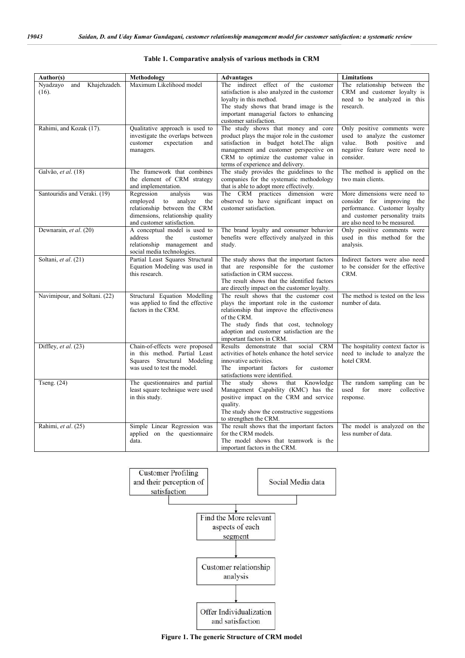| Author(s)                                | Methodology                                                                                                                                                   | <b>Advantages</b>                                                                                                                                                                                                                                                     | <b>Limitations</b>                                                                                                                                              |
|------------------------------------------|---------------------------------------------------------------------------------------------------------------------------------------------------------------|-----------------------------------------------------------------------------------------------------------------------------------------------------------------------------------------------------------------------------------------------------------------------|-----------------------------------------------------------------------------------------------------------------------------------------------------------------|
| Khajehzadeh.<br>Nyadzayo<br>and<br>(16). | Maximum Likelihood model                                                                                                                                      | The indirect effect of the customer<br>satisfaction is also analyzed in the customer<br>loyalty in this method.<br>The study shows that brand image is the<br>important managerial factors to enhancing<br>customer satisfaction.                                     | The relationship between the<br>CRM and customer loyalty is<br>need to be analyzed in this<br>research.                                                         |
| Rahimi, and Kozak (17).                  | Qualitative approach is used to<br>investigate the overlaps between<br>expectation<br>customer<br>and<br>managers.                                            | The study shows that money and core<br>product plays the major role in the customer<br>satisfaction in budget hotel. The align<br>management and customer perspective on<br>CRM to optimize the customer value in<br>terms of experience and delivery.                | Only positive comments were<br>used to analyze the customer<br>value.<br>Both positive<br>and<br>negative feature were need to<br>consider.                     |
| Galvão, et al. (18)                      | The framework that combines<br>the element of CRM strategy<br>and implementation.                                                                             | The study provides the guidelines to the<br>companies for the systematic methodology<br>that is able to adopt more effectively.                                                                                                                                       | The method is applied on the<br>two main clients.                                                                                                               |
| Santouridis and Veraki. (19)             | Regression<br>analysis<br>was<br>employed to analyze<br>the<br>relationship between the CRM<br>dimensions, relationship quality<br>and customer satisfaction. | The CRM practices dimension were<br>observed to have significant impact on<br>customer satisfaction.                                                                                                                                                                  | More dimensions were need to<br>consider for improving the<br>performance. Customer loyalty<br>and customer personality traits<br>are also need to be measured. |
| Dewnarain, et al. (20)                   | A conceptual model is used to<br>address<br>the<br>customer<br>relationship management and<br>social media technologies.                                      | The brand loyalty and consumer behavior<br>benefits were effectively analyzed in this<br>study.                                                                                                                                                                       | Only positive comments were<br>used in this method for the<br>analysis.                                                                                         |
| Soltani, et al. (21)                     | Partial Least Squares Structural<br>Equation Modeling was used in<br>this research.                                                                           | The study shows that the important factors<br>that are responsible for the customer<br>satisfaction in CRM success.<br>The result shows that the identified factors<br>are directly impact on the customer loyalty.                                                   | Indirect factors were also need<br>to be consider for the effective<br>CRM.                                                                                     |
| Navimipour, and Soltani. (22)            | Structural Equation Modelling<br>was applied to find the effective<br>factors in the CRM.                                                                     | The result shows that the customer cost<br>plays the important role in the customer<br>relationship that improve the effectiveness<br>of the CRM.<br>The study finds that cost, technology<br>adoption and customer satisfaction are the<br>important factors in CRM. | The method is tested on the less<br>number of data.                                                                                                             |
| Diffley, et al. (23)                     | Chain-of-effects were proposed<br>in this method. Partial Least<br>Squares Structural Modeling<br>was used to test the model.                                 | Results demonstrate that social CRM<br>activities of hotels enhance the hotel service<br>innovative activities.<br>The<br>important factors for customer<br>satisfactions were identified.                                                                            | The hospitality context factor is<br>need to include to analyze the<br>hotel CRM.                                                                               |
| Tseng. $(24)$                            | The questionnaires and partial<br>least square technique were used<br>in this study.                                                                          | The study<br>shows<br>that<br>Knowledge<br>Management Capability (KMC) has the<br>positive impact on the CRM and service<br>quality.<br>The study show the constructive suggestions<br>to strengthen the CRM.                                                         | The random sampling can be<br>used<br>for<br>more<br>collective<br>response.                                                                                    |
| Rahimi, et al. (25)                      | Simple Linear Regression was<br>applied on the questionnaire<br>data.                                                                                         | The result shows that the important factors<br>for the CRM models.<br>The model shows that teamwork is the<br>important factors in the CRM.                                                                                                                           | The model is analyzed on the<br>less number of data.                                                                                                            |

#### **Table 1. Comparative analysis of various methods in CRM**



**Figure 1. The generic Structure of CRM model**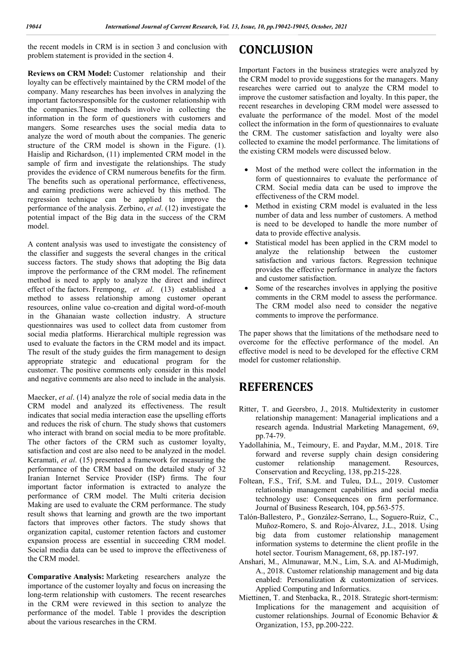the recent models in CRM is in section 3 and conclusion with problem statement is provided in the section 4.

**Reviews on CRM Model:** Customer relationship and their loyalty can be effectively maintained by the CRM model of the company. Many researches has been involves in analyzing the important factorsresponsible for the customer relationship with the companies.These methods involve in collecting the information in the form of questioners with customers and mangers. Some researches uses the social media data to analyze the word of mouth about the companies. The generic structure of the CRM model is shown in the Figure. (1). Haislip and Richardson, (11) implemented CRM model in the sample of firm and investigate the relationships. The study provides the evidence of CRM numerous benefits for the firm. The benefits such as operational performance, effectiveness, and earning predictions were achieved by this method. The regression technique can be applied to improve the performance of the analysis. Zerbino, *et al*. (12) investigate the potential impact of the Big data in the success of the CRM model.

A content analysis was used to investigate the consistency of the classifier and suggests the several changes in the critical success factors. The study shows that adopting the Big data improve the performance of the CRM model. The refinement method is need to apply to analyze the direct and indirect effect of the factors. Frempong, *et al*. (13) established a method to assess relationship among customer operant resources, online value co-creation and digital word-of-mouth in the Ghanaian waste collection industry. A structure questionnaires was used to collect data from customer from social media platforms. Hierarchical multiple regression was used to evaluate the factors in the CRM model and its impact. The result of the study guides the firm management to design appropriate strategic and educational program for the customer. The positive comments only consider in this model and negative comments are also need to include in the analysis.

Maecker, *et al*. (14) analyze the role of social media data in the CRM model and analyzed its effectiveness. The result indicates that social media interaction ease the upselling efforts and reduces the risk of churn. The study shows that customers who interact with brand on social media to be more profitable. The other factors of the CRM such as customer loyalty, satisfaction and cost are also need to be analyzed in the model. Keramati, *et al*. (15) presented a framework for measuring the performance of the CRM based on the detailed study of 32 Iranian Internet Service Provider (ISP) firms. The four important factor information is extracted to analyze the performance of CRM model. The Multi criteria decision Making are used to evaluate the CRM performance. The study result shows that learning and growth are the two important factors that improves other factors. The study shows that organization capital, customer retention factors and customer expansion process are essential in succeeding CRM model. Social media data can be used to improve the effectiveness of the CRM model.

**Comparative Analysis:** Marketing researchers analyze the importance of the customer loyalty and focus on increasing the long-term relationship with customers. The recent researches in the CRM were reviewed in this section to analyze the performance of the model. Table 1 provides the description about the various researches in the CRM.

## **CONCLUSION**

Important Factors in the business strategies were analyzed by the CRM model to provide suggestions for the managers. Many researches were carried out to analyze the CRM model to improve the customer satisfaction and loyalty. In this paper, the recent researches in developing CRM model were assessed to evaluate the performance of the model. Most of the model collect the information in the form of questionnaires to evaluate the CRM. The customer satisfaction and loyalty were also collected to examine the model performance. The limitations of the existing CRM models were discussed below.

- Most of the method were collect the information in the form of questionnaires to evaluate the performance of CRM. Social media data can be used to improve the effectiveness of the CRM model.
- Method in existing CRM model is evaluated in the less number of data and less number of customers. A method is need to be developed to handle the more number of data to provide effective analysis.
- Statistical model has been applied in the CRM model to analyze the relationship between the customer satisfaction and various factors. Regression technique provides the effective performance in analyze the factors and customer satisfaction.
- Some of the researches involves in applying the positive comments in the CRM model to assess the performance. The CRM model also need to consider the negative comments to improve the performance.

The paper shows that the limitations of the methodsare need to overcome for the effective performance of the model. An effective model is need to be developed for the effective CRM model for customer relationship.

## **REFERENCES**

- Ritter, T. and Geersbro, J., 2018. Multidexterity in customer relationship management: Managerial implications and a research agenda. Industrial Marketing Management, 69, pp.74-79.
- Yadollahinia, M., Teimoury, E. and Paydar, M.M., 2018. Tire forward and reverse supply chain design considering customer relationship management. Resources, Conservation and Recycling, 138, pp.215-228.
- Foltean, F.S., Trif, S.M. and Tuleu, D.L., 2019. Customer relationship management capabilities and social media technology use: Consequences on firm performance. Journal of Business Research, 104, pp.563-575.
- Talón-Ballestero, P., González-Serrano, L., Soguero-Ruiz, C., Muñoz-Romero, S. and Rojo-Álvarez, J.L., 2018. Using big data from customer relationship management information systems to determine the client profile in the hotel sector. Tourism Management, 68, pp.187-197.
- Anshari, M., Almunawar, M.N., Lim, S.A. and Al-Mudimigh, A., 2018. Customer relationship management and big data enabled: Personalization & customization of services. Applied Computing and Informatics.
- Miettinen, T. and Stenbacka, R., 2018. Strategic short-termism: Implications for the management and acquisition of customer relationships. Journal of Economic Behavior & Organization, 153, pp.200-222.